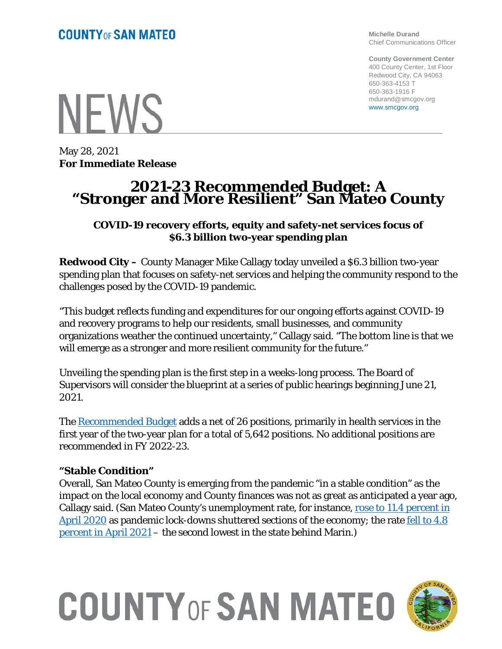**Michelle Durand** Chief Communications Officer

**County Government Center** 400 County Center, 1st Floor Redwood City, CA 94063 650-363-4153 T 650-363-1916 F mdurand@smcgov.org www.smcgov.org

**NFWS** 

May 28, 2021 **For Immediate Release**

### **2021-23 Recommended Budget: A "Stronger and More Resilient" San Mateo County**

#### **COVID-19 recovery efforts, equity and safety-net services focus of \$6.3 billion two-year spending plan**

**Redwood City –** County Manager Mike Callagy today unveiled a \$6.3 billion two-year spending plan that focuses on safety-net services and helping the community respond to the challenges posed by the COVID-19 pandemic.

"This budget reflects funding and expenditures for our ongoing efforts against COVID-19 and recovery programs to help our residents, small businesses, and community organizations weather the continued uncertainty," Callagy said. "The bottom line is that we will emerge as a stronger and more resilient community for the future."

Unveiling the spending plan is the first step in a weeks-long process. The Board of Supervisors will consider the blueprint at a series of public hearings beginning June 21, 2021.

The [Recommended Budget](https://cmo.smcgov.org/sites/cmo.smcgov.org/files/documents/files/FY_2021_23_Recommended_Budget_FINAL_STITCH_POSTED.pdf) adds a net of 26 positions, primarily in health services in the first year of the two-year plan for a total of 5,642 positions. No additional positions are recommended in FY 2022-23.

#### **"Stable Condition"**

Overall, San Mateo County is emerging from the pandemic "in a stable condition" as the impact on the local economy and County finances was not as great as anticipated a year ago, Callagy said. (San Mateo County's unemployment rate, for instance, rose to 11.4 percent in [April 2020](https://edd.ca.gov/newsroom/unemployment-may-2020.htm) as pandemic lock-downs shuttered sections of the economy; the rate fell to 4.8 [percent in April 2021](https://edd.ca.gov/Newsroom/unemployment-april-2021.htm) – the second lowest in the state behind Marin.)

# **COUNTY OF SAN MATEO**

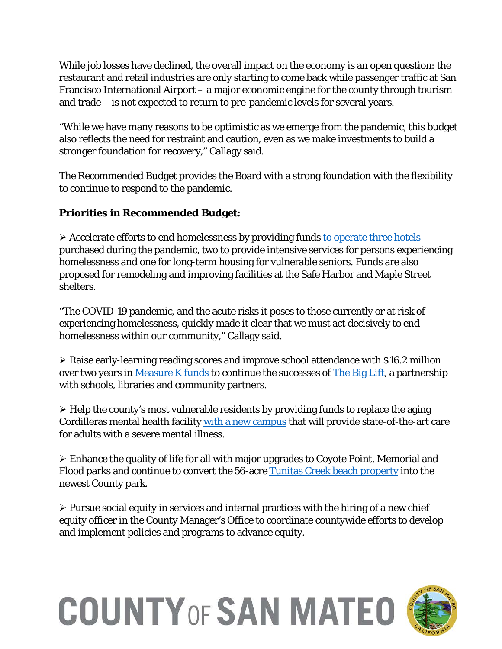While job losses have declined, the overall impact on the economy is an open question: the restaurant and retail industries are only starting to come back while passenger traffic at San Francisco International Airport – a major economic engine for the county through tourism and trade – is not expected to return to pre-pandemic levels for several years.

"While we have many reasons to be optimistic as we emerge from the pandemic, this budget also reflects the need for restraint and caution, even as we make investments to build a stronger foundation for recovery," Callagy said.

The Recommended Budget provides the Board with a strong foundation with the flexibility to continue to respond to the pandemic.

### **Priorities in Recommended Budget:**

 $\triangleright$  Accelerate efforts to end homelessness by providing funds [to operate three hotels](https://www.smcgov.org/covid-19-housing-and-homelessness) purchased during the pandemic, two to provide intensive services for persons experiencing homelessness and one for long-term housing for vulnerable seniors. Funds are also proposed for remodeling and improving facilities at the Safe Harbor and Maple Street shelters.

"The COVID-19 pandemic, and the acute risks it poses to those currently or at risk of experiencing homelessness, quickly made it clear that we must act decisively to end homelessness within our community," Callagy said.

 Raise early-learning reading scores and improve school attendance with \$16.2 million over two years in [Measure K funds](https://cmo.smcgov.org/measurek) to continue the successes of [The Big Lift,](https://www.thebiglift.org/) a partnership with schools, libraries and community partners.

 $\triangleright$  Help the county's most vulnerable residents by providing funds to replace the aging Cordilleras mental health facility [with a new campus](https://cmo.smcgov.org/blog/2021-04-28/fresh-start-treating-mental-illness) that will provide state-of-the-art care for adults with a severe mental illness.

 Enhance the quality of life for all with major upgrades to Coyote Point, Memorial and Flood parks and continue to convert the 56-acre [Tunitas Creek beach property](https://parks.smcgov.org/tunitas-creek-beach-improvement-project) into the newest County park.

 $\triangleright$  Pursue social equity in services and internal practices with the hiring of a new chief equity officer in the County Manager's Office to coordinate countywide efforts to develop and implement policies and programs to advance equity.

# **COUNTY OF SAN MATEO**